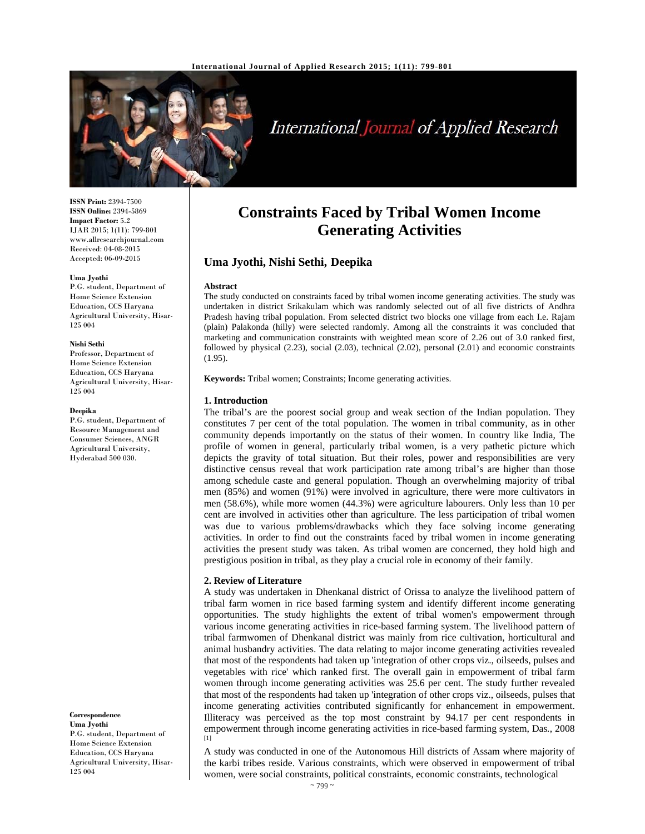

# International Journal of Applied Research

**ISSN Print:** 2394-7500 **ISSN Online:** 2394-5869 **Impact Factor:** 5.2 IJAR 2015; 1(11): 799-801 www.allresearchjournal.com Received: 04-08-2015 Accepted: 06-09-2015

#### **Uma Jyothi**

P.G. student, Department of Home Science Extension Education, CCS Haryana Agricultural University, Hisar-125 004

#### **Nishi Sethi**

Professor, Department of Home Science Extension Education, CCS Haryana Agricultural University, Hisar-125 004

#### **Deepika**

P.G. student, Department of Resource Management and Consumer Sciences, ANGR Agricultural University, Hyderabad 500 030.

**Correspondence Uma Jyothi**  P.G. student, Department of Home Science Extension Education, CCS Haryana Agricultural University, Hisar-125 004

## **Constraints Faced by Tribal Women Income Generating Activities**

## **Uma Jyothi, Nishi Sethi, Deepika**

#### **Abstract**

The study conducted on constraints faced by tribal women income generating activities. The study was undertaken in district Srikakulam which was randomly selected out of all five districts of Andhra Pradesh having tribal population. From selected district two blocks one village from each I.e. Rajam (plain) Palakonda (hilly) were selected randomly. Among all the constraints it was concluded that marketing and communication constraints with weighted mean score of 2.26 out of 3.0 ranked first, followed by physical (2.23), social (2.03), technical (2.02), personal (2.01) and economic constraints (1.95).

**Keywords:** Tribal women; Constraints; Income generating activities.

#### **1. Introduction**

The tribal's are the poorest social group and weak section of the Indian population. They constitutes 7 per cent of the total population. The women in tribal community, as in other community depends importantly on the status of their women. In country like India, The profile of women in general, particularly tribal women, is a very pathetic picture which depicts the gravity of total situation. But their roles, power and responsibilities are very distinctive census reveal that work participation rate among tribal's are higher than those among schedule caste and general population. Though an overwhelming majority of tribal men (85%) and women (91%) were involved in agriculture, there were more cultivators in men (58.6%), while more women (44.3%) were agriculture labourers. Only less than 10 per cent are involved in activities other than agriculture. The less participation of tribal women was due to various problems/drawbacks which they face solving income generating activities. In order to find out the constraints faced by tribal women in income generating activities the present study was taken. As tribal women are concerned, they hold high and prestigious position in tribal, as they play a crucial role in economy of their family.

#### **2. Review of Literature**

A study was undertaken in Dhenkanal district of Orissa to analyze the livelihood pattern of tribal farm women in rice based farming system and identify different income generating opportunities. The study highlights the extent of tribal women's empowerment through various income generating activities in rice-based farming system. The livelihood pattern of tribal farmwomen of Dhenkanal district was mainly from rice cultivation, horticultural and animal husbandry activities. The data relating to major income generating activities revealed that most of the respondents had taken up 'integration of other crops viz., oilseeds, pulses and vegetables with rice' which ranked first. The overall gain in empowerment of tribal farm women through income generating activities was 25.6 per cent. The study further revealed that most of the respondents had taken up 'integration of other crops viz., oilseeds, pulses that income generating activities contributed significantly for enhancement in empowerment. Illiteracy was perceived as the top most constraint by 94.17 per cent respondents in empowerment through income generating activities in rice-based farming system, Das*.*, 2008 [1]

A study was conducted in one of the Autonomous Hill districts of Assam where majority of the karbi tribes reside. Various constraints, which were observed in empowerment of tribal women, were social constraints, political constraints, economic constraints, technological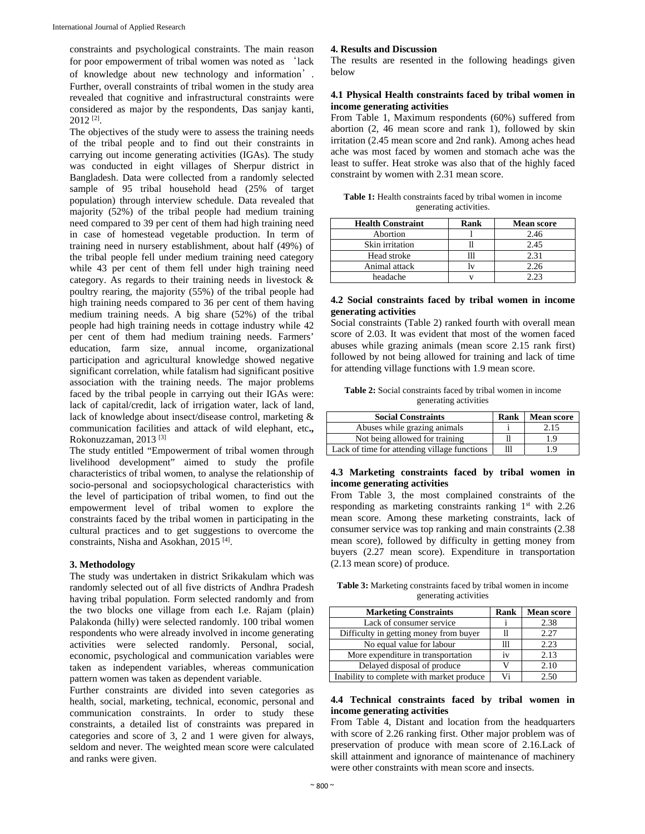constraints and psychological constraints. The main reason for poor empowerment of tribal women was noted as 'lack of knowledge about new technology and information'. Further, overall constraints of tribal women in the study area revealed that cognitive and infrastructural constraints were considered as major by the respondents, Das sanjay kanti, 2012 [2].

The objectives of the study were to assess the training needs of the tribal people and to find out their constraints in carrying out income generating activities (IGAs). The study was conducted in eight villages of Sherpur district in Bangladesh. Data were collected from a randomly selected sample of 95 tribal household head (25% of target population) through interview schedule. Data revealed that majority (52%) of the tribal people had medium training need compared to 39 per cent of them had high training need in case of homestead vegetable production. In term of training need in nursery establishment, about half (49%) of the tribal people fell under medium training need category while 43 per cent of them fell under high training need category. As regards to their training needs in livestock & poultry rearing, the majority (55%) of the tribal people had high training needs compared to 36 per cent of them having medium training needs. A big share (52%) of the tribal people had high training needs in cottage industry while 42 per cent of them had medium training needs. Farmers' education, farm size, annual income, organizational participation and agricultural knowledge showed negative significant correlation, while fatalism had significant positive association with the training needs. The major problems faced by the tribal people in carrying out their IGAs were: lack of capital/credit, lack of irrigation water, lack of land, lack of knowledge about insect/disease control, marketing & communication facilities and attack of wild elephant, etc**.,**  Rokonuzzaman, 2013 [3]

The study entitled "Empowerment of tribal women through livelihood development" aimed to study the profile characteristics of tribal women, to analyse the relationship of socio-personal and sociopsychological characteristics with the level of participation of tribal women, to find out the empowerment level of tribal women to explore the constraints faced by the tribal women in participating in the cultural practices and to get suggestions to overcome the constraints, Nisha and Asokhan, 2015 [4].

#### **3. Methodology**

The study was undertaken in district Srikakulam which was randomly selected out of all five districts of Andhra Pradesh having tribal population. Form selected randomly and from the two blocks one village from each I.e. Rajam (plain) Palakonda (hilly) were selected randomly. 100 tribal women respondents who were already involved in income generating activities were selected randomly. Personal, social, economic, psychological and communication variables were taken as independent variables, whereas communication pattern women was taken as dependent variable.

Further constraints are divided into seven categories as health, social, marketing, technical, economic, personal and communication constraints. In order to study these constraints, a detailed list of constraints was prepared in categories and score of 3, 2 and 1 were given for always, seldom and never. The weighted mean score were calculated and ranks were given.

#### **4. Results and Discussion**

The results are resented in the following headings given below

#### **4.1 Physical Health constraints faced by tribal women in income generating activities**

From Table 1, Maximum respondents (60%) suffered from abortion (2, 46 mean score and rank 1), followed by skin irritation (2.45 mean score and 2nd rank). Among aches head ache was most faced by women and stomach ache was the least to suffer. Heat stroke was also that of the highly faced constraint by women with 2.31 mean score.

| <b>Table 1:</b> Health constraints faced by tribal women in income |  |
|--------------------------------------------------------------------|--|
| generating activities.                                             |  |

| <b>Health Constraint</b> | <b>Rank</b> | <b>Mean score</b> |
|--------------------------|-------------|-------------------|
| Abortion                 |             | 2.46              |
| Skin irritation          |             | 2.45              |
| Head stroke              |             | 2.31              |
| Animal attack            |             | 2.26              |
| headache                 |             | ว วว              |

#### **4.2 Social constraints faced by tribal women in income generating activities**

Social constraints (Table 2) ranked fourth with overall mean score of 2.03. It was evident that most of the women faced abuses while grazing animals (mean score 2.15 rank first) followed by not being allowed for training and lack of time for attending village functions with 1.9 mean score.

| <b>Table 2:</b> Social constraints faced by tribal women in income |  |
|--------------------------------------------------------------------|--|
| generating activities                                              |  |

| <b>Social Constraints</b>                    | Rank | <b>Mean score</b> |
|----------------------------------------------|------|-------------------|
| Abuses while grazing animals                 |      | 2.15              |
| Not being allowed for training               |      | 1.9               |
| Lack of time for attending village functions | 111  | 19                |

#### **4.3 Marketing constraints faced by tribal women in income generating activities**

From Table 3, the most complained constraints of the responding as marketing constraints ranking  $1<sup>st</sup>$  with 2.26 mean score. Among these marketing constraints, lack of consumer service was top ranking and main constraints (2.38 mean score), followed by difficulty in getting money from buyers (2.27 mean score). Expenditure in transportation (2.13 mean score) of produce.

**Table 3:** Marketing constraints faced by tribal women in income generating activities

| <b>Marketing Constraints</b>              | <b>Rank</b> | <b>Mean score</b> |
|-------------------------------------------|-------------|-------------------|
| Lack of consumer service                  |             | 2.38              |
| Difficulty in getting money from buyer    |             | 2.27              |
| No equal value for labour                 |             | 2.23              |
| More expenditure in transportation        | 1V          | 2.13              |
| Delayed disposal of produce               |             | 2.10              |
| Inability to complete with market produce | Vi          |                   |

#### **4.4 Technical constraints faced by tribal women in income generating activities**

From Table 4, Distant and location from the headquarters with score of 2.26 ranking first. Other major problem was of preservation of produce with mean score of 2.16.Lack of skill attainment and ignorance of maintenance of machinery were other constraints with mean score and insects.